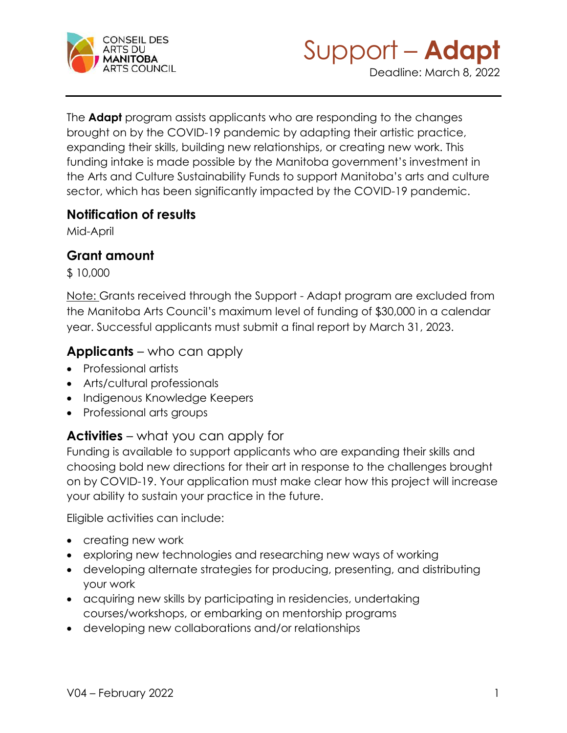



Deadline: March 8, 2022

The **Adapt** program assists applicants who are responding to the changes brought on by the COVID-19 pandemic by adapting their artistic practice, expanding their skills, building new relationships, or creating new work. This funding intake is made possible by the Manitoba government's investment in the Arts and Culture Sustainability Funds to support Manitoba's arts and culture sector, which has been significantly impacted by the COVID-19 pandemic.

#### **Notification of results**

Mid-April

## **Grant amount**

\$ 10,000

Note: Grants received through the Support - Adapt program are excluded from the Manitoba Arts Council's maximum level of funding of \$30,000 in a calendar year. Successful applicants must submit a final report by March 31, 2023.

### **Applicants** – who can apply

- Professional artists
- Arts/cultural professionals
- Indigenous Knowledge Keepers
- Professional arts groups

# **Activities** – what you can apply for

Funding is available to support applicants who are expanding their skills and choosing bold new directions for their art in response to the challenges brought on by COVID-19. Your application must make clear how this project will increase your ability to sustain your practice in the future.

Eligible activities can include:

- creating new work
- exploring new technologies and researching new ways of working
- developing alternate strategies for producing, presenting, and distributing your work
- acquiring new skills by participating in residencies, undertaking courses/workshops, or embarking on mentorship programs
- developing new collaborations and/or relationships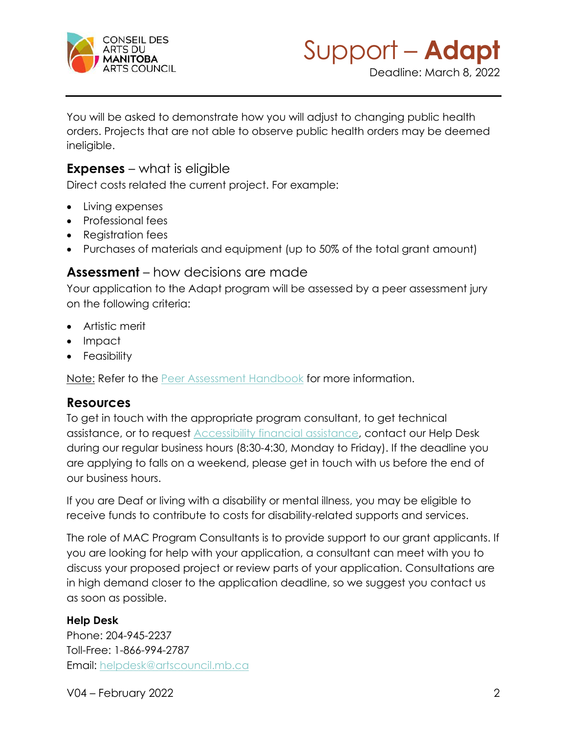



You will be asked to demonstrate how you will adjust to changing public health orders. Projects that are not able to observe public health orders may be deemed ineligible.

#### **Expenses** – what is eligible

Direct costs related the current project. For example:

- Living expenses
- Professional fees
- Registration fees
- Purchases of materials and equipment (up to 50% of the total grant amount)

#### **Assessment** – how decisions are made

Your application to the Adapt program will be assessed by a peer assessment jury on the following criteria:

- Artistic merit
- Impact
- Feasibility

Note: Refer to the **Peer Assessment Handbook for more information.** 

### **Resources**

To get in touch with the appropriate program consultant, to get technical assistance, or to request [Accessibility financial assistance,](https://artscouncil.mb.ca/grants/accessibility/) contact our Help Desk during our regular business hours (8:30-4:30, Monday to Friday). If the deadline you are applying to falls on a weekend, please get in touch with us before the end of our business hours.

If you are Deaf or living with a disability or mental illness, you may be eligible to receive funds to contribute to costs for disability-related supports and services.

The role of MAC Program Consultants is to provide support to our grant applicants. If you are looking for help with your application, a consultant can meet with you to discuss your proposed project or review parts of your application. Consultations are in high demand closer to the application deadline, so we suggest you contact us as soon as possible.

#### **Help Desk**

Phone: 204-945-2237 Toll-Free: 1-866-994-2787 Email: [helpdesk@artscouncil.mb.ca](mailto:helpdesk@artscouncil.mb.ca)

V04 – February 2022 2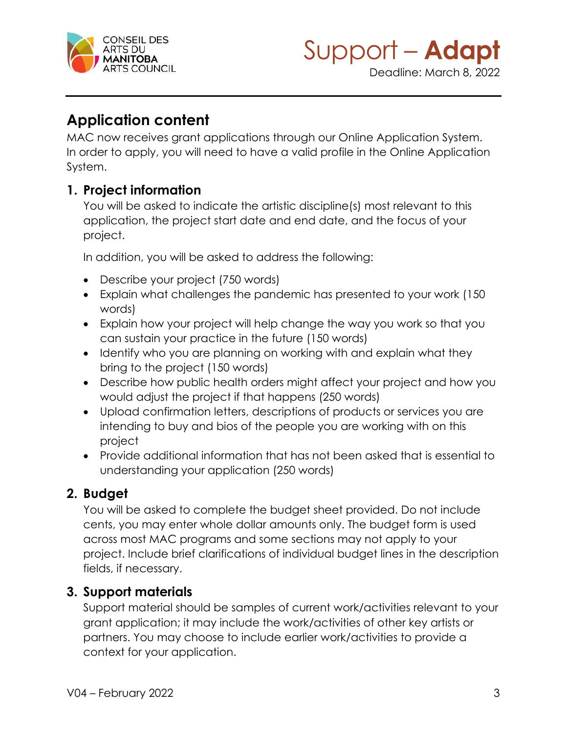



Deadline: March 8, 2022

# **Application content**

MAC now receives grant applications through our Online Application System. In order to apply, you will need to have a valid profile in the Online Application System.

# **1. Project information**

You will be asked to indicate the artistic discipline(s) most relevant to this application, the project start date and end date, and the focus of your project.

In addition, you will be asked to address the following:

- Describe your project (750 words)
- Explain what challenges the pandemic has presented to your work (150 words)
- Explain how your project will help change the way you work so that you can sustain your practice in the future (150 words)
- Identify who you are planning on working with and explain what they bring to the project (150 words)
- Describe how public health orders might affect your project and how you would adjust the project if that happens (250 words)
- Upload confirmation letters, descriptions of products or services you are intending to buy and bios of the people you are working with on this project
- Provide additional information that has not been asked that is essential to understanding your application (250 words)

# **2. Budget**

You will be asked to complete the budget sheet provided. Do not include cents, you may enter whole dollar amounts only. The budget form is used across most MAC programs and some sections may not apply to your project. Include brief clarifications of individual budget lines in the description fields, if necessary.

# **3. Support materials**

Support material should be samples of current work/activities relevant to your grant application; it may include the work/activities of other key artists or partners. You may choose to include earlier work/activities to provide a context for your application.